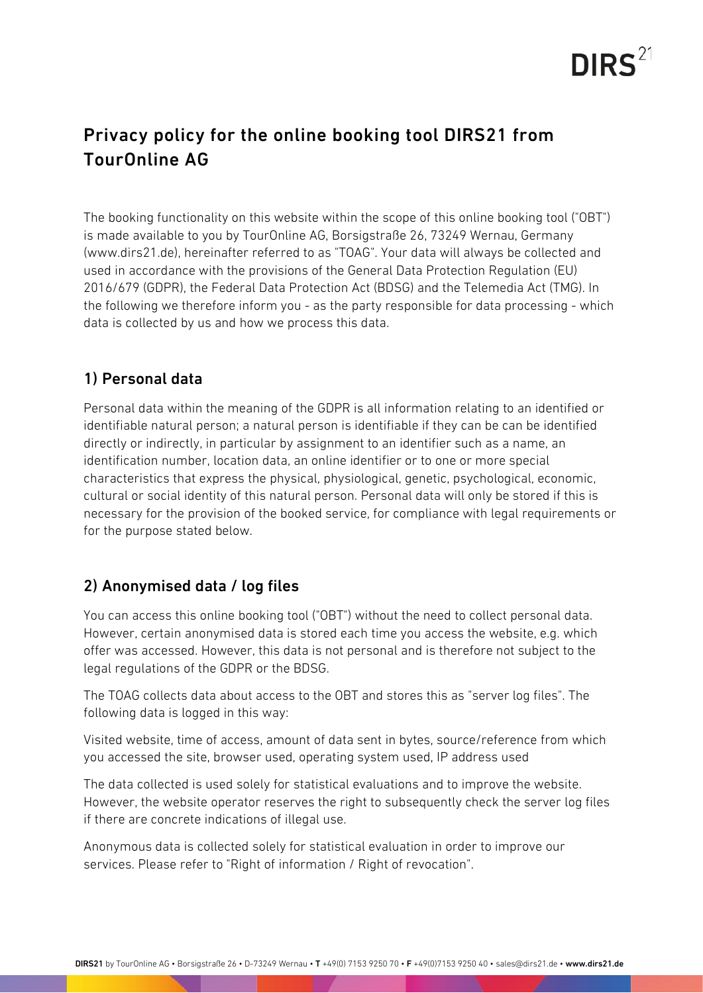

## Privacy policy for the online booking tool DIRS21 from TourOnline AG

The booking functionality on this website within the scope of this online booking tool ("OBT") is made available to you by TourOnline AG, Borsigstraße 26, 73249 Wernau, Germany (www.dirs21.de), hereinafter referred to as "TOAG". Your data will always be collected and used in accordance with the provisions of the General Data Protection Regulation (EU) 2016/679 (GDPR), the Federal Data Protection Act (BDSG) and the Telemedia Act (TMG). In the following we therefore inform you - as the party responsible for data processing - which data is collected by us and how we process this data.

#### 1) Personal data

Personal data within the meaning of the GDPR is all information relating to an identified or identifiable natural person; a natural person is identifiable if they can be can be identified directly or indirectly, in particular by assignment to an identifier such as a name, an identification number, location data, an online identifier or to one or more special characteristics that express the physical, physiological, genetic, psychological, economic, cultural or social identity of this natural person. Personal data will only be stored if this is necessary for the provision of the booked service, for compliance with legal requirements or for the purpose stated below.

### 2) Anonymised data / log files

You can access this online booking tool ("OBT") without the need to collect personal data. However, certain anonymised data is stored each time you access the website, e.g. which offer was accessed. However, this data is not personal and is therefore not subject to the legal regulations of the GDPR or the BDSG.

The TOAG collects data about access to the OBT and stores this as "server log files". The following data is logged in this way:

Visited website, time of access, amount of data sent in bytes, source/reference from which you accessed the site, browser used, operating system used, IP address used

The data collected is used solely for statistical evaluations and to improve the website. However, the website operator reserves the right to subsequently check the server log files if there are concrete indications of illegal use.

Anonymous data is collected solely for statistical evaluation in order to improve our services. Please refer to "Right of information / Right of revocation".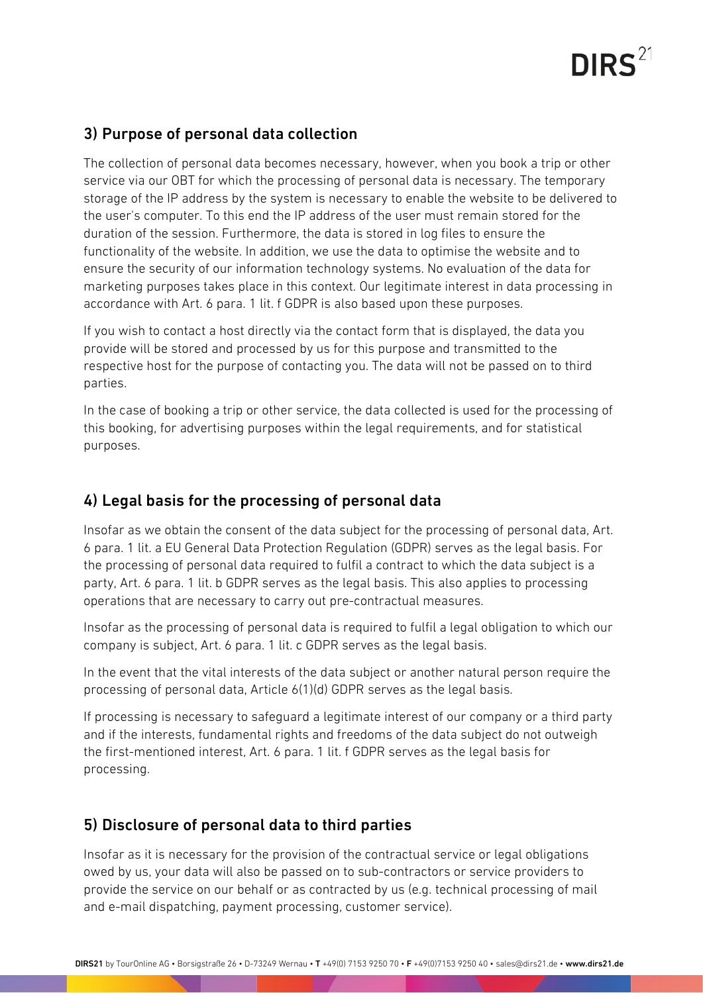## $DIRS<sup>21</sup>$

#### 3) Purpose of personal data collection

The collection of personal data becomes necessary, however, when you book a trip or other service via our OBT for which the processing of personal data is necessary. The temporary storage of the IP address by the system is necessary to enable the website to be delivered to the user's computer. To this end the IP address of the user must remain stored for the duration of the session. Furthermore, the data is stored in log files to ensure the functionality of the website. In addition, we use the data to optimise the website and to ensure the security of our information technology systems. No evaluation of the data for marketing purposes takes place in this context. Our legitimate interest in data processing in accordance with Art. 6 para. 1 lit. f GDPR is also based upon these purposes.

If you wish to contact a host directly via the contact form that is displayed, the data you provide will be stored and processed by us for this purpose and transmitted to the respective host for the purpose of contacting you. The data will not be passed on to third parties.

In the case of booking a trip or other service, the data collected is used for the processing of this booking, for advertising purposes within the legal requirements, and for statistical purposes.

### 4) Legal basis for the processing of personal data

Insofar as we obtain the consent of the data subject for the processing of personal data, Art. 6 para. 1 lit. a EU General Data Protection Regulation (GDPR) serves as the legal basis. For the processing of personal data required to fulfil a contract to which the data subject is a party, Art. 6 para. 1 lit. b GDPR serves as the legal basis. This also applies to processing operations that are necessary to carry out pre-contractual measures.

Insofar as the processing of personal data is required to fulfil a legal obligation to which our company is subject, Art. 6 para. 1 lit. c GDPR serves as the legal basis.

In the event that the vital interests of the data subject or another natural person require the processing of personal data, Article 6(1)(d) GDPR serves as the legal basis.

If processing is necessary to safeguard a legitimate interest of our company or a third party and if the interests, fundamental rights and freedoms of the data subject do not outweigh the first-mentioned interest, Art. 6 para. 1 lit. f GDPR serves as the legal basis for processing.

#### 5) Disclosure of personal data to third parties

Insofar as it is necessary for the provision of the contractual service or legal obligations owed by us, your data will also be passed on to sub-contractors or service providers to provide the service on our behalf or as contracted by us (e.g. technical processing of mail and e-mail dispatching, payment processing, customer service).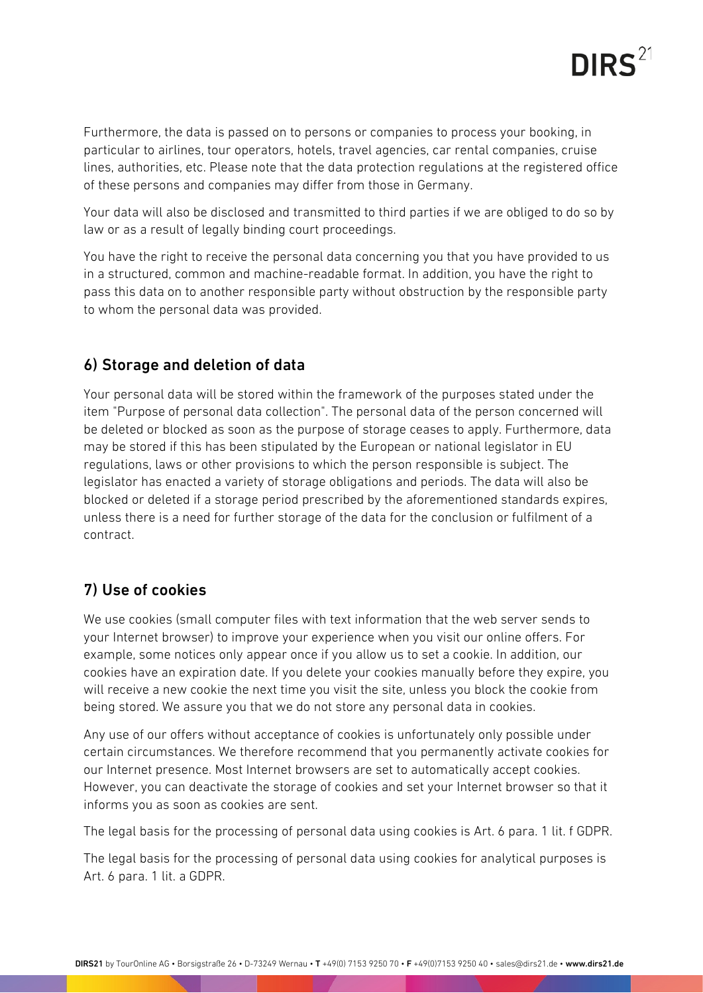

Furthermore, the data is passed on to persons or companies to process your booking, in particular to airlines, tour operators, hotels, travel agencies, car rental companies, cruise lines, authorities, etc. Please note that the data protection regulations at the registered office of these persons and companies may differ from those in Germany.

Your data will also be disclosed and transmitted to third parties if we are obliged to do so by law or as a result of legally binding court proceedings.

You have the right to receive the personal data concerning you that you have provided to us in a structured, common and machine-readable format. In addition, you have the right to pass this data on to another responsible party without obstruction by the responsible party to whom the personal data was provided.

#### 6) Storage and deletion of data

Your personal data will be stored within the framework of the purposes stated under the item "Purpose of personal data collection". The personal data of the person concerned will be deleted or blocked as soon as the purpose of storage ceases to apply. Furthermore, data may be stored if this has been stipulated by the European or national legislator in EU regulations, laws or other provisions to which the person responsible is subject. The legislator has enacted a variety of storage obligations and periods. The data will also be blocked or deleted if a storage period prescribed by the aforementioned standards expires, unless there is a need for further storage of the data for the conclusion or fulfilment of a contract.

#### 7) Use of cookies

We use cookies (small computer files with text information that the web server sends to your Internet browser) to improve your experience when you visit our online offers. For example, some notices only appear once if you allow us to set a cookie. In addition, our cookies have an expiration date. If you delete your cookies manually before they expire, you will receive a new cookie the next time you visit the site, unless you block the cookie from being stored. We assure you that we do not store any personal data in cookies.

Any use of our offers without acceptance of cookies is unfortunately only possible under certain circumstances. We therefore recommend that you permanently activate cookies for our Internet presence. Most Internet browsers are set to automatically accept cookies. However, you can deactivate the storage of cookies and set your Internet browser so that it informs you as soon as cookies are sent.

The legal basis for the processing of personal data using cookies is Art. 6 para. 1 lit. f GDPR.

The legal basis for the processing of personal data using cookies for analytical purposes is Art. 6 para. 1 lit. a GDPR.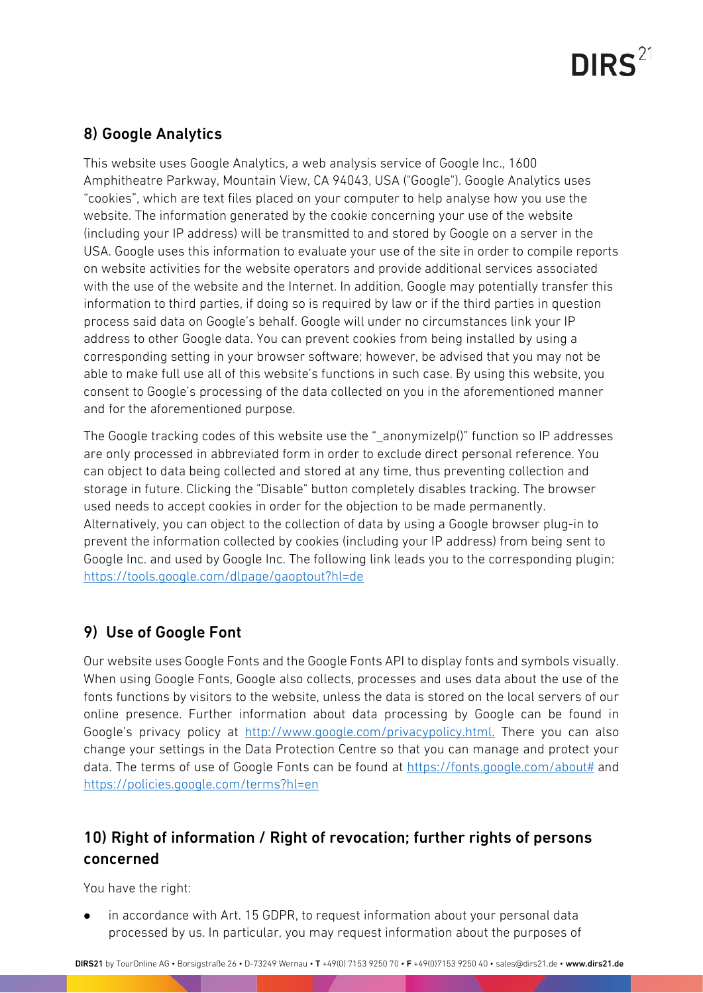# $DIRS<sup>21</sup>$

### 8) Google Analytics

This website uses Google Analytics, a web analysis service of Google Inc., 1600 Amphitheatre Parkway, Mountain View, CA 94043, USA ("Google"). Google Analytics uses "cookies", which are text files placed on your computer to help analyse how you use the website. The information generated by the cookie concerning your use of the website (including your IP address) will be transmitted to and stored by Google on a server in the USA. Google uses this information to evaluate your use of the site in order to compile reports on website activities for the website operators and provide additional services associated with the use of the website and the Internet. In addition, Google may potentially transfer this information to third parties, if doing so is required by law or if the third parties in question process said data on Google's behalf. Google will under no circumstances link your IP address to other Google data. You can prevent cookies from being installed by using a corresponding setting in your browser software; however, be advised that you may not be able to make full use all of this website's functions in such case. By using this website, you consent to Google's processing of the data collected on you in the aforementioned manner and for the aforementioned purpose.

The Google tracking codes of this website use the " anonymizeIp()" function so IP addresses are only processed in abbreviated form in order to exclude direct personal reference. You can object to data being collected and stored at any time, thus preventing collection and storage in future. Clicking the "Disable" button completely disables tracking. The browser used needs to accept cookies in order for the objection to be made permanently. Alternatively, you can object to the collection of data by using a Google browser plug-in to prevent the information collected by cookies (including your IP address) from being sent to Google Inc. and used by Google Inc. The following link leads you to the corresponding plugin: <https://tools.google.com/dlpage/gaoptout?hl=de>

### 9) Use of Google Font

Our website uses Google Fonts and the Google Fonts API to display fonts and symbols visually. When using Google Fonts, Google also collects, processes and uses data about the use of the fonts functions by visitors to the website, unless the data is stored on the local servers of our online presence. Further information about data processing by Google can be found in Google's privacy policy at <http://www.google.com/privacypolicy.html>. There you can also change your settings in the Data Protection Centre so that you can manage and protect your data. The terms of use of Google Fonts can be found at [https://fonts.google.com/about#](https://fonts.google.com/about) and <https://policies.google.com/terms?hl=en>

## 10) Right of information / Right of revocation; further rights of persons concerned

You have the right:

 in accordance with Art. 15 GDPR, to request information about your personal data processed by us. In particular, you may request information about the purposes of

DIRS21 by TourOnline AG • Borsigstraße 26 • D-73249 Wernau • T +49(0) 7153 9250 70 • F +49(0)7153 9250 40 • sales@dirs21.de • www.dirs21.de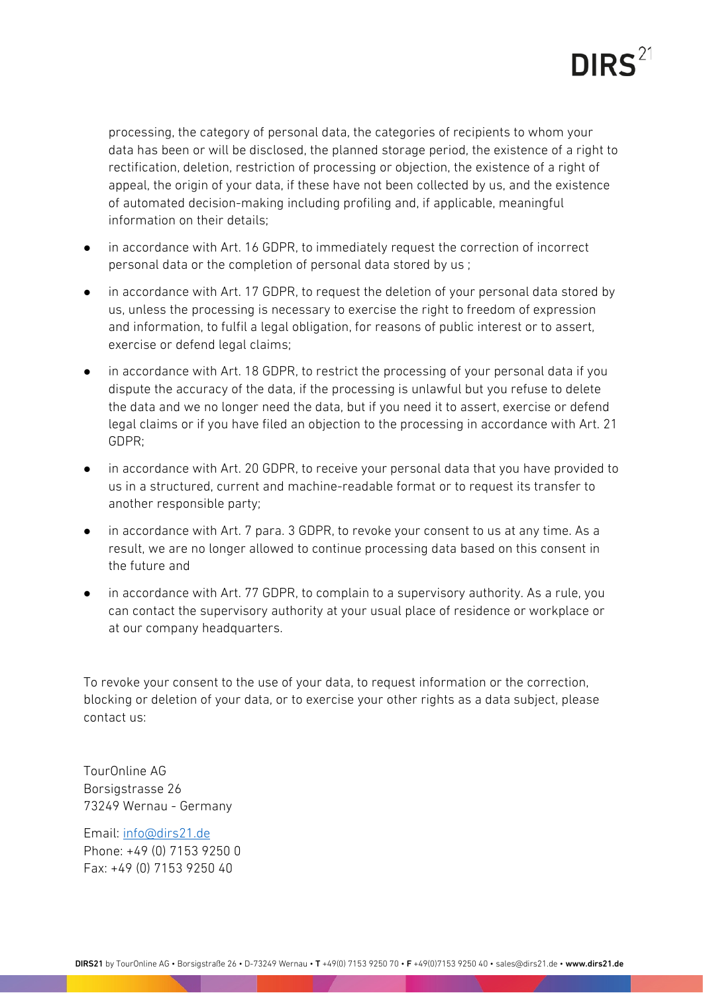

processing, the category of personal data, the categories of recipients to whom your data has been or will be disclosed, the planned storage period, the existence of a right to rectification, deletion, restriction of processing or objection, the existence of a right of appeal, the origin of your data, if these have not been collected by us, and the existence of automated decision-making including profiling and, if applicable, meaningful information on their details;

- in accordance with Art. 16 GDPR, to immediately request the correction of incorrect personal data or the completion of personal data stored by us ;
- in accordance with Art. 17 GDPR, to request the deletion of your personal data stored by us, unless the processing is necessary to exercise the right to freedom of expression and information, to fulfil a legal obligation, for reasons of public interest or to assert, exercise or defend legal claims;
- in accordance with Art. 18 GDPR, to restrict the processing of your personal data if you dispute the accuracy of the data, if the processing is unlawful but you refuse to delete the data and we no longer need the data, but if you need it to assert, exercise or defend legal claims or if you have filed an objection to the processing in accordance with Art. 21 GDPR;
- in accordance with Art. 20 GDPR, to receive your personal data that you have provided to us in a structured, current and machine-readable format or to request its transfer to another responsible party;
- in accordance with Art. 7 para. 3 GDPR, to revoke your consent to us at any time. As a result, we are no longer allowed to continue processing data based on this consent in the future and
- in accordance with Art. 77 GDPR, to complain to a supervisory authority. As a rule, you can contact the supervisory authority at your usual place of residence or workplace or at our company headquarters.

To revoke your consent to the use of your data, to request information or the correction, blocking or deletion of your data, or to exercise your other rights as a data subject, please contact us:

TourOnline AG Borsigstrasse 26 73249 Wernau - Germany

Email: [info@dirs21.de](mailto:info@dirs21.de) Phone: +49 (0) 7153 9250 0 Fax: +49 (0) 7153 9250 40